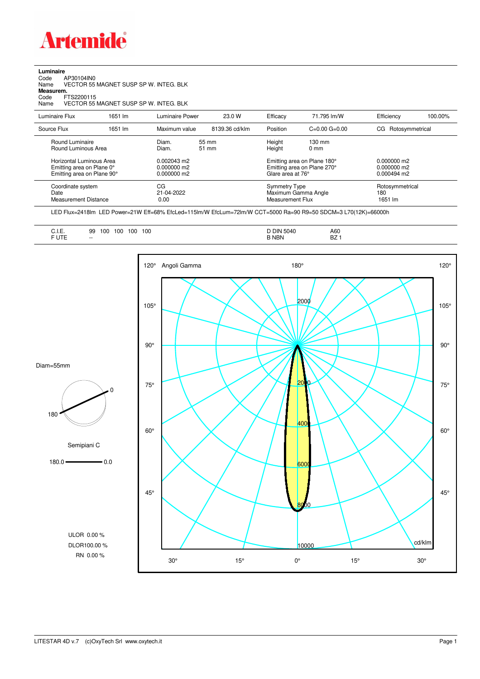

**Luminaire**<br>Code<br>Name Code AP30104IN0 Name VECTOR 55 MAGNET SUSP SP W. INTEG. BLK

**Measurem.**

Code FTS2200115<br>Name VECTOR 551 Name VECTOR 55 MAGNET SUSP SP W. INTEG. BLK

| Luminaire Flux                                                     | 1651 lm | Luminaire Power                 | 23.0 W         | Efficacy | 71.795 lm/W                                                                           | Efficiency                        | 100.00%                               |  |
|--------------------------------------------------------------------|---------|---------------------------------|----------------|----------|---------------------------------------------------------------------------------------|-----------------------------------|---------------------------------------|--|
| Source Flux                                                        | 1651 lm | Maximum value                   | 8139.36 cd/klm | Position | $C=0.00$ $G=0.00$                                                                     | CG<br>Rotosymmetrical             |                                       |  |
| Round Luminaire<br>Round Luminous Area<br>Horizontal Luminous Area |         | Diam.<br>Diam.<br>$0.002043$ m2 | 55 mm<br>51 mm |          | Height<br>$130 \text{ mm}$<br>Height<br>$0 \text{ mm}$<br>Emitting area on Plane 180° |                                   |                                       |  |
| Emitting area on Plane 0°<br>Emitting area on Plane 90°            |         | $0.000000$ m2<br>$0.000000$ m2  |                |          | Emitting area on Plane 270°<br>Glare area at 76°                                      |                                   | $0.000000$ m2<br>$0.000494 \text{ m}$ |  |
| Coordinate system<br>Date<br><b>Measurement Distance</b>           |         | CG<br>21-04-2022<br>0.00        |                |          | Symmetry Type<br>Maximum Gamma Angle<br>Measurement Flux                              | Rotosymmetrical<br>180<br>1651 lm |                                       |  |

LED Flux=2418lm LED Power=21W Eff=68% EfcLed=115lm/W EfcLum=72lm/W CCT=5000 Ra=90 R9=50 SDCM=3 L70(12K)=66000h